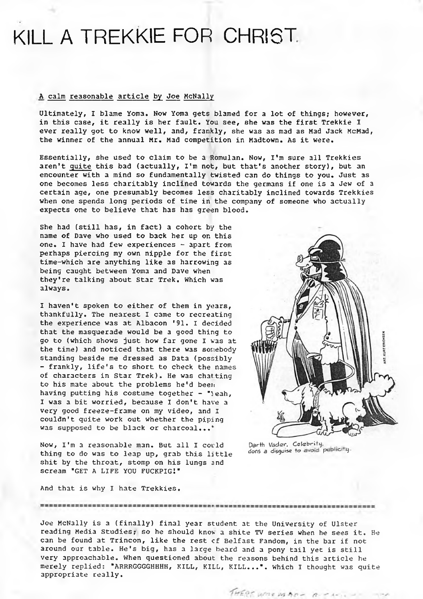# KILL A TREKKIE FOR CHRIST

## <sup>A</sup> calm reasonable article by Joe McNally

Ultimately, I blame Yoma. Now Yoma gets blamed for a lot of things; however, in this case, it really is her fault. You see, she was the first Trekkie I ever really got to know well, and, frankly, she was as mad as Mad Jack McMad, the winner of the annual Mr. Mad competition in Madtown. As it were.

Essentially, she used to claim to be a Romulan. Now, I'm sure all Trekkies aren't quite this bad (actually, I'm not, but that's another story), but an encounter with a mind so fundamentally twisted can do things to you. Just as one becomes less charitably inclined towards the germans if one is a Jew of <sup>a</sup> certain age, one presumably becomes less charitably inclined towards Trekkies when one spends long periods of time in the company of someone who actually expects one to believe that has has green blood.

She had (still has, in fact) <sup>a</sup> cohort by the name of Dave who used to back her up on this one. I have had few experiences - apart from perhaps piercing my own nipple for the first time-which are anything like as harrowing as being caught between Yoma and Dave when they're talking about Star Trek. Which was always.

I haven't spoken to either of them in years, thankfully. The nearest I came to recreating the experience was at Albacon '91. I decided that the masquerade would be a good thing to go to (which shows just how far gone I was at the time) and noticed that there was somebody standing beside me dressed as Data (possibly - frankly, life's to short to check the names of characters in Star Trek). He was chatting to his mate about the problems he'd been having putting his costume together - "leah, I was <sup>a</sup> bit worried, because I don't have <sup>a</sup> very good freeze-frame on my video, and I couldn't quite work out whether the piping was supposed to be black or charcoal...\*

Now, I'm a reasonable man. But all I could Darth *Vader*, Celebrity,<br>thing to do was to lean up grab this little. dons a disquise to avoid publicity. thing to do was to leap up, grab this little shit by the throat, stomp on his lungs snd scream 'GET <sup>A</sup> LIFE YOU FUCKPIGl'

And that is why I hate Trekkies.

Joe McNally is a (finally) final year student at the University of Ulster reading Media Studies; so he should know <sup>a</sup> shite TV series when he sees it. He can be found at Trincon, like the rest cf Belfast Fandom, in the bar if not around our table. He's big, has <sup>a</sup> large beard and <sup>a</sup> pony tail yet is still very approachable. When questioned about the reasons behind this article he merely replied: 'ARRRGGGGHHHH, KILL, KILL, KILL...', which I thought was quite appropriate really.